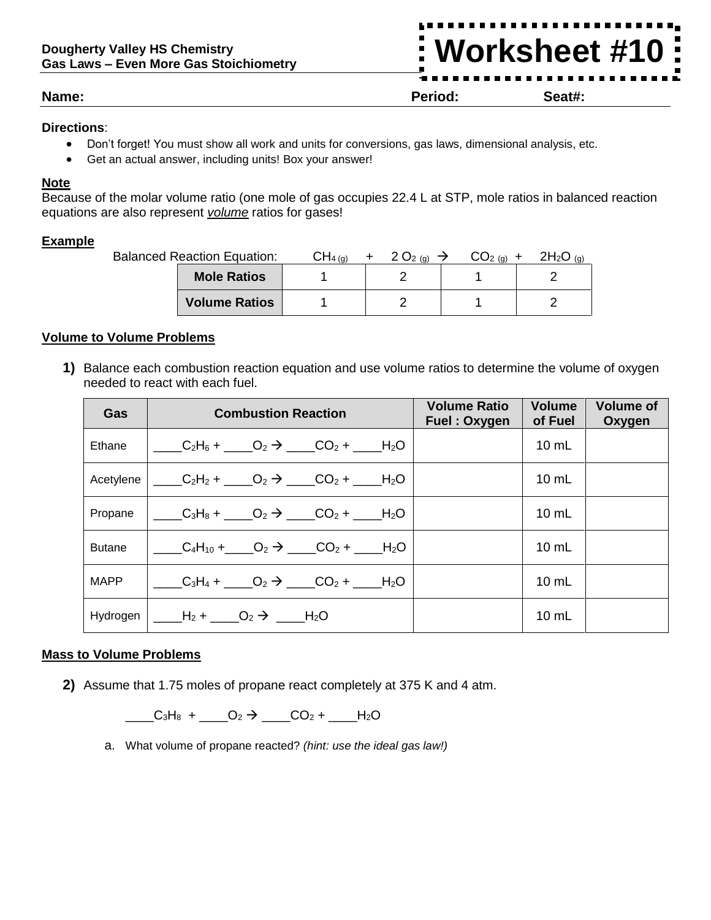## **Dougherty Valley HS Chemistry Gas Laws – Even More Gas Stoichiometry**

**Worksheet #10**

**Name: Period: Seat#:**

# **Directions**:

- Don't forget! You must show all work and units for conversions, gas laws, dimensional analysis, etc.
- Get an actual answer, including units! Box your answer!

# **Note**

Because of the molar volume ratio (one mole of gas occupies 22.4 L at STP, mole ratios in balanced reaction equations are also represent *volume* ratios for gases!

# **Example**

| <b>Balanced Reaction Equation:</b> |  | $2O_{2(q)} \rightarrow$ | $CO2 (g) +$ | $2H_2O_{(g)}$ |
|------------------------------------|--|-------------------------|-------------|---------------|
| <b>Mole Ratios</b>                 |  |                         |             |               |
| <b>Volume Ratios</b>               |  |                         |             |               |

# **Volume to Volume Problems**

**1)** Balance each combustion reaction equation and use volume ratios to determine the volume of oxygen needed to react with each fuel.

| Gas           | <b>Combustion Reaction</b>                                                             | <b>Volume Ratio</b><br>Fuel: Oxygen | <b>Volume</b><br>of Fuel | <b>Volume of</b><br>Oxygen |
|---------------|----------------------------------------------------------------------------------------|-------------------------------------|--------------------------|----------------------------|
| Ethane        | $C_2H_6 + C_2 \rightarrow CO_2 + H_2O$                                                 |                                     | $10 \text{ mL}$          |                            |
| Acetylene     | $C_2H_2 + C_2D_2 \rightarrow C_2 + C_2$                                                |                                     | $10 \text{ mL}$          |                            |
| Propane       | $C_3H_8 + C_2 \rightarrow CO_2 + H_2O$                                                 |                                     | $10$ mL                  |                            |
| <b>Butane</b> | $C_4H_{10} + C_2 \rightarrow C_2$ + H <sub>2</sub> O                                   |                                     | $10$ mL                  |                            |
| <b>MAPP</b>   | $C_3H_4 + C_2 \rightarrow C_2 + H_2O$                                                  |                                     | $10 \text{ mL}$          |                            |
| Hydrogen      | $\underline{\qquad} H_2 + \underline{\qquad} O_2 \rightarrow \underline{\qquad} H_2 O$ |                                     | $10$ mL                  |                            |

# **Mass to Volume Problems**

**2)** Assume that 1.75 moles of propane react completely at 375 K and 4 atm.

 $\begin{array}{cccc}\nC_3H_8 + D_2 \rightarrow D_2 \rightarrow D_2 + D_3H_2O\n\end{array}$ 

a. What volume of propane reacted? *(hint: use the ideal gas law!)*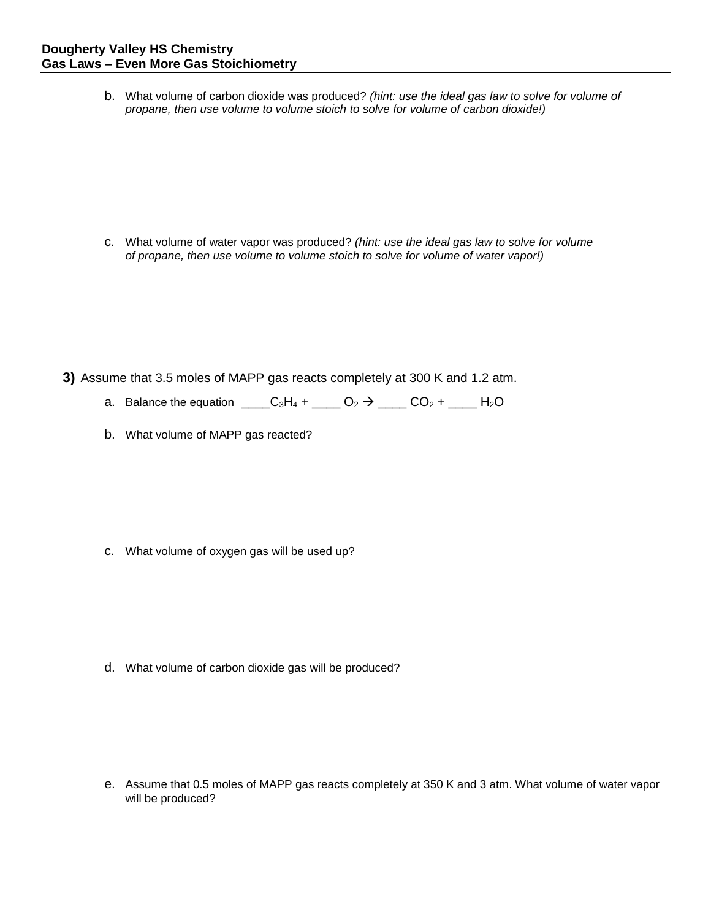b. What volume of carbon dioxide was produced? *(hint: use the ideal gas law to solve for volume of propane, then use volume to volume stoich to solve for volume of carbon dioxide!)*

c. What volume of water vapor was produced? *(hint: use the ideal gas law to solve for volume of propane, then use volume to volume stoich to solve for volume of water vapor!)* 

- **3)** Assume that 3.5 moles of MAPP gas reacts completely at 300 K and 1.2 atm.
	- a. Balance the equation \_\_\_\_C<sub>3</sub>H<sub>4</sub> + \_\_\_\_ O<sub>2</sub>  $\rightarrow$  \_\_\_\_ CO<sub>2</sub> + \_\_\_\_ H<sub>2</sub>O
	- b. What volume of MAPP gas reacted?

c. What volume of oxygen gas will be used up?

d. What volume of carbon dioxide gas will be produced?

e. Assume that 0.5 moles of MAPP gas reacts completely at 350 K and 3 atm. What volume of water vapor will be produced?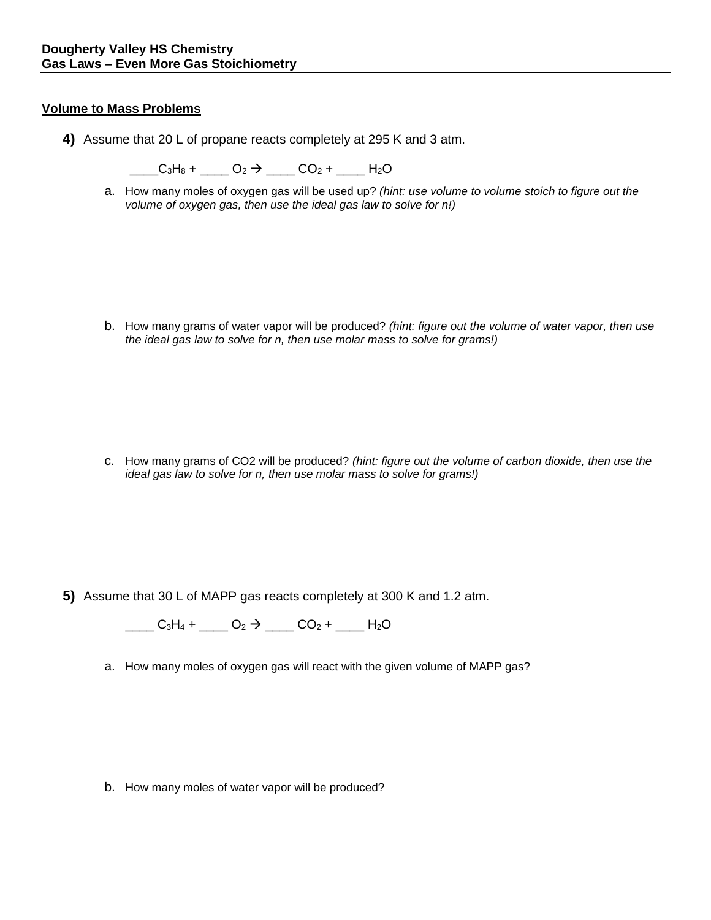## **Volume to Mass Problems**

**4)** Assume that 20 L of propane reacts completely at 295 K and 3 atm.

 $C_3H_8 + C_2 \rightarrow C_2$   $+ C_2$  +  $+ C_2$ 

a. How many moles of oxygen gas will be used up? *(hint: use volume to volume stoich to figure out the volume of oxygen gas, then use the ideal gas law to solve for n!)*

b. How many grams of water vapor will be produced? *(hint: figure out the volume of water vapor, then use the ideal gas law to solve for n, then use molar mass to solve for grams!)*

c. How many grams of CO2 will be produced? *(hint: figure out the volume of carbon dioxide, then use the ideal gas law to solve for n, then use molar mass to solve for grams!)*

**5)** Assume that 30 L of MAPP gas reacts completely at 300 K and 1.2 atm.

 $\underline{\hspace{1cm}}$  C<sub>3</sub>H<sub>4</sub> +  $\underline{\hspace{1cm}}$  O<sub>2</sub>  $\rightarrow$   $\underline{\hspace{1cm}}$  CO<sub>2</sub> +  $\underline{\hspace{1cm}}$  H<sub>2</sub>O

a. How many moles of oxygen gas will react with the given volume of MAPP gas?

b. How many moles of water vapor will be produced?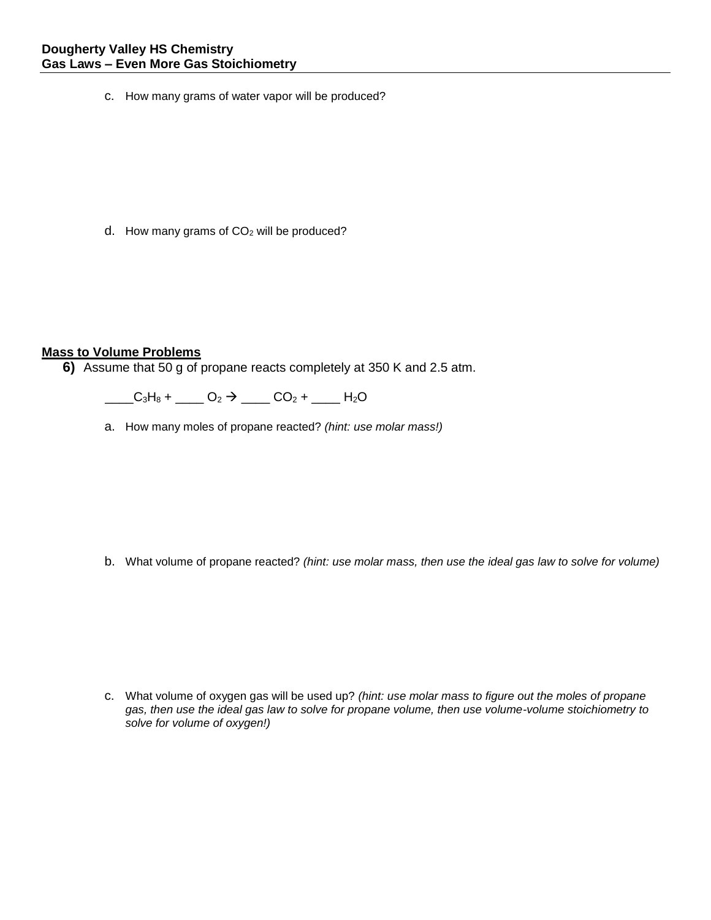c. How many grams of water vapor will be produced?

d. How many grams of CO<sub>2</sub> will be produced?

### **Mass to Volume Problems**

**6)** Assume that 50 g of propane reacts completely at 350 K and 2.5 atm.

 $C_3H_8 + C_2 \rightarrow C_2$   $+ C_2 + C_3H_8$ 

a. How many moles of propane reacted? *(hint: use molar mass!)*

b. What volume of propane reacted? *(hint: use molar mass, then use the ideal gas law to solve for volume)*

c. What volume of oxygen gas will be used up? *(hint: use molar mass to figure out the moles of propane gas, then use the ideal gas law to solve for propane volume, then use volume-volume stoichiometry to solve for volume of oxygen!)*